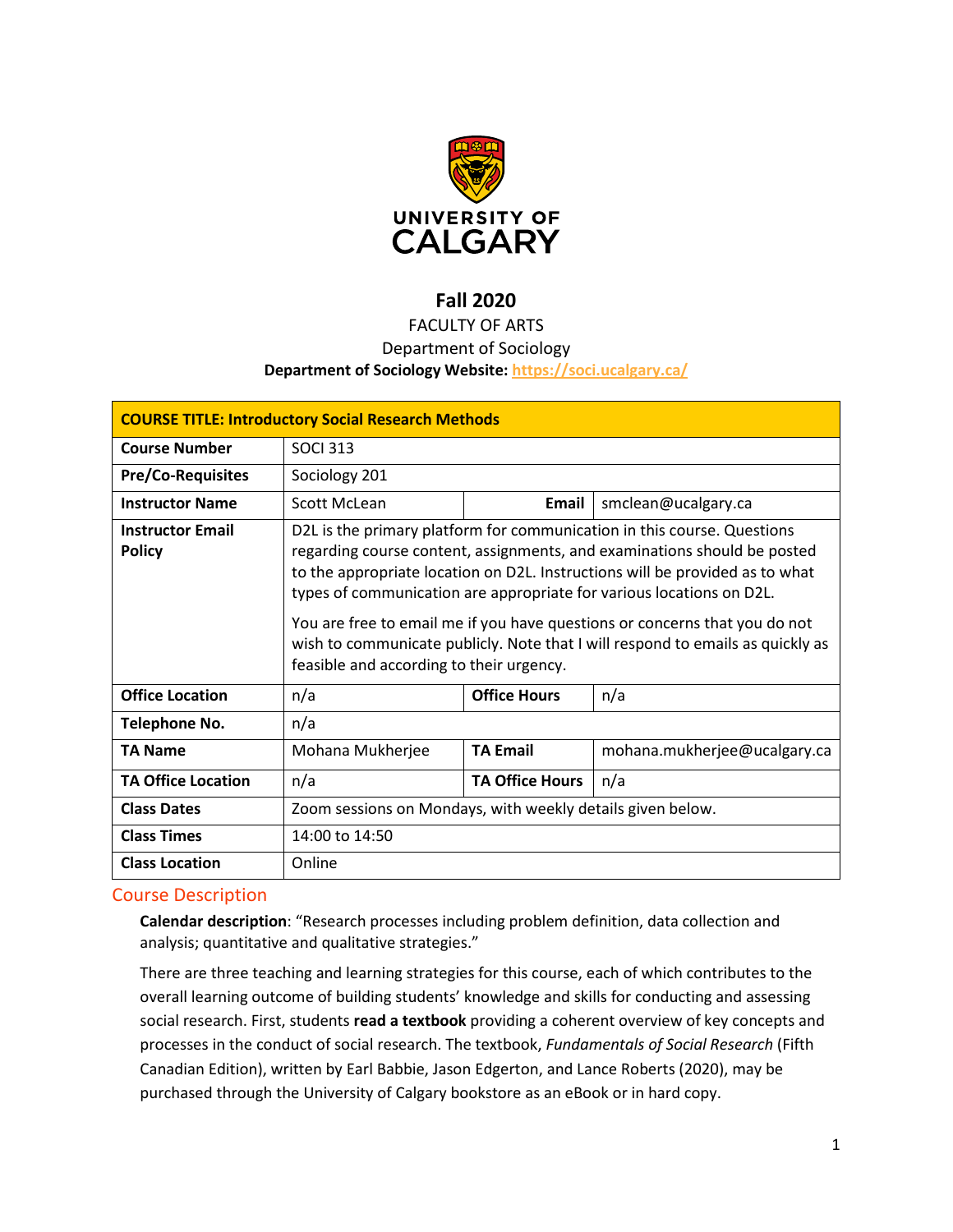

# **Fall 2020**

## FACULTY OF ARTS

## Department of Sociology

### **Department of Sociology Website:<https://soci.ucalgary.ca/>**

| <b>COURSE TITLE: Introductory Social Research Methods</b> |                                                                                                                                                                                                                                                                                                                                                                                                                                                                                                                         |                        |                              |  |  |  |
|-----------------------------------------------------------|-------------------------------------------------------------------------------------------------------------------------------------------------------------------------------------------------------------------------------------------------------------------------------------------------------------------------------------------------------------------------------------------------------------------------------------------------------------------------------------------------------------------------|------------------------|------------------------------|--|--|--|
| <b>Course Number</b>                                      | <b>SOCI 313</b>                                                                                                                                                                                                                                                                                                                                                                                                                                                                                                         |                        |                              |  |  |  |
| <b>Pre/Co-Requisites</b>                                  | Sociology 201                                                                                                                                                                                                                                                                                                                                                                                                                                                                                                           |                        |                              |  |  |  |
| <b>Instructor Name</b>                                    | Scott McLean                                                                                                                                                                                                                                                                                                                                                                                                                                                                                                            | Email                  | smclean@ucalgary.ca          |  |  |  |
| <b>Instructor Email</b><br><b>Policy</b>                  | D2L is the primary platform for communication in this course. Questions<br>regarding course content, assignments, and examinations should be posted<br>to the appropriate location on D2L. Instructions will be provided as to what<br>types of communication are appropriate for various locations on D2L.<br>You are free to email me if you have questions or concerns that you do not<br>wish to communicate publicly. Note that I will respond to emails as quickly as<br>feasible and according to their urgency. |                        |                              |  |  |  |
| <b>Office Location</b>                                    | n/a                                                                                                                                                                                                                                                                                                                                                                                                                                                                                                                     | <b>Office Hours</b>    | n/a                          |  |  |  |
| Telephone No.                                             | n/a                                                                                                                                                                                                                                                                                                                                                                                                                                                                                                                     |                        |                              |  |  |  |
| <b>TA Name</b>                                            | Mohana Mukherjee                                                                                                                                                                                                                                                                                                                                                                                                                                                                                                        | <b>TA Email</b>        | mohana.mukherjee@ucalgary.ca |  |  |  |
| <b>TA Office Location</b>                                 | n/a                                                                                                                                                                                                                                                                                                                                                                                                                                                                                                                     | <b>TA Office Hours</b> | n/a                          |  |  |  |
| <b>Class Dates</b>                                        | Zoom sessions on Mondays, with weekly details given below.                                                                                                                                                                                                                                                                                                                                                                                                                                                              |                        |                              |  |  |  |
| <b>Class Times</b>                                        | 14:00 to 14:50                                                                                                                                                                                                                                                                                                                                                                                                                                                                                                          |                        |                              |  |  |  |
| <b>Class Location</b>                                     | Online                                                                                                                                                                                                                                                                                                                                                                                                                                                                                                                  |                        |                              |  |  |  |

## Course Description

**Calendar description**: "Research processes including problem definition, data collection and analysis; quantitative and qualitative strategies."

There are three teaching and learning strategies for this course, each of which contributes to the overall learning outcome of building students' knowledge and skills for conducting and assessing social research. First, students **read a textbook** providing a coherent overview of key concepts and processes in the conduct of social research. The textbook, *Fundamentals of Social Research* (Fifth Canadian Edition), written by Earl Babbie, Jason Edgerton, and Lance Roberts (2020), may be purchased through the University of Calgary bookstore as an eBook or in hard copy.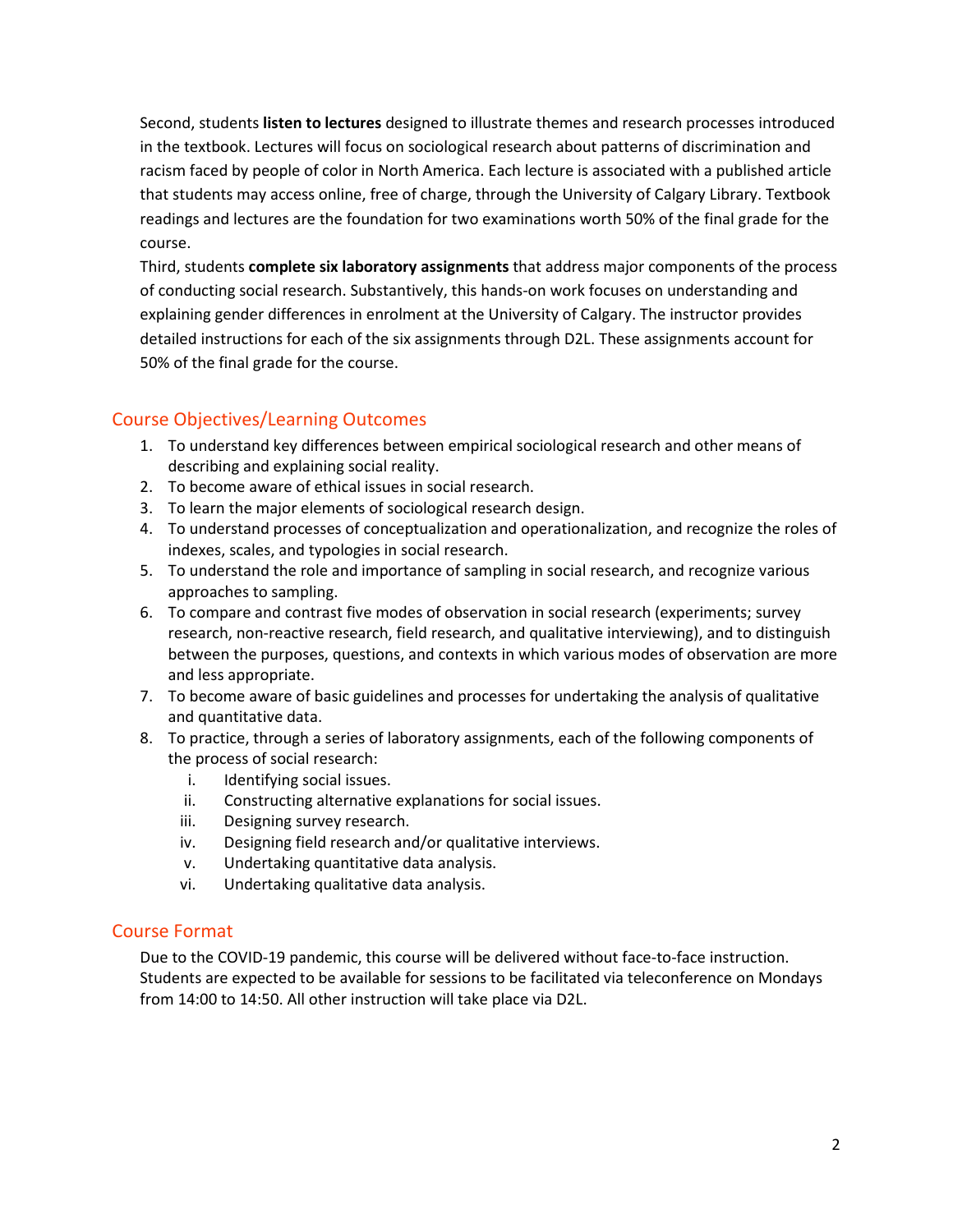Second, students **listen to lectures** designed to illustrate themes and research processes introduced in the textbook. Lectures will focus on sociological research about patterns of discrimination and racism faced by people of color in North America. Each lecture is associated with a published article that students may access online, free of charge, through the University of Calgary Library. Textbook readings and lectures are the foundation for two examinations worth 50% of the final grade for the course.

Third, students **complete six laboratory assignments** that address major components of the process of conducting social research. Substantively, this hands-on work focuses on understanding and explaining gender differences in enrolment at the University of Calgary. The instructor provides detailed instructions for each of the six assignments through D2L. These assignments account for 50% of the final grade for the course.

## Course Objectives/Learning Outcomes

- 1. To understand key differences between empirical sociological research and other means of describing and explaining social reality.
- 2. To become aware of ethical issues in social research.
- 3. To learn the major elements of sociological research design.
- 4. To understand processes of conceptualization and operationalization, and recognize the roles of indexes, scales, and typologies in social research.
- 5. To understand the role and importance of sampling in social research, and recognize various approaches to sampling.
- 6. To compare and contrast five modes of observation in social research (experiments; survey research, non-reactive research, field research, and qualitative interviewing), and to distinguish between the purposes, questions, and contexts in which various modes of observation are more and less appropriate.
- 7. To become aware of basic guidelines and processes for undertaking the analysis of qualitative and quantitative data.
- 8. To practice, through a series of laboratory assignments, each of the following components of the process of social research:
	- i. Identifying social issues.
	- ii. Constructing alternative explanations for social issues.
	- iii. Designing survey research.
	- iv. Designing field research and/or qualitative interviews.
	- v. Undertaking quantitative data analysis.
	- vi. Undertaking qualitative data analysis.

## Course Format

Due to the COVID-19 pandemic, this course will be delivered without face-to-face instruction. Students are expected to be available for sessions to be facilitated via teleconference on Mondays from 14:00 to 14:50. All other instruction will take place via D2L.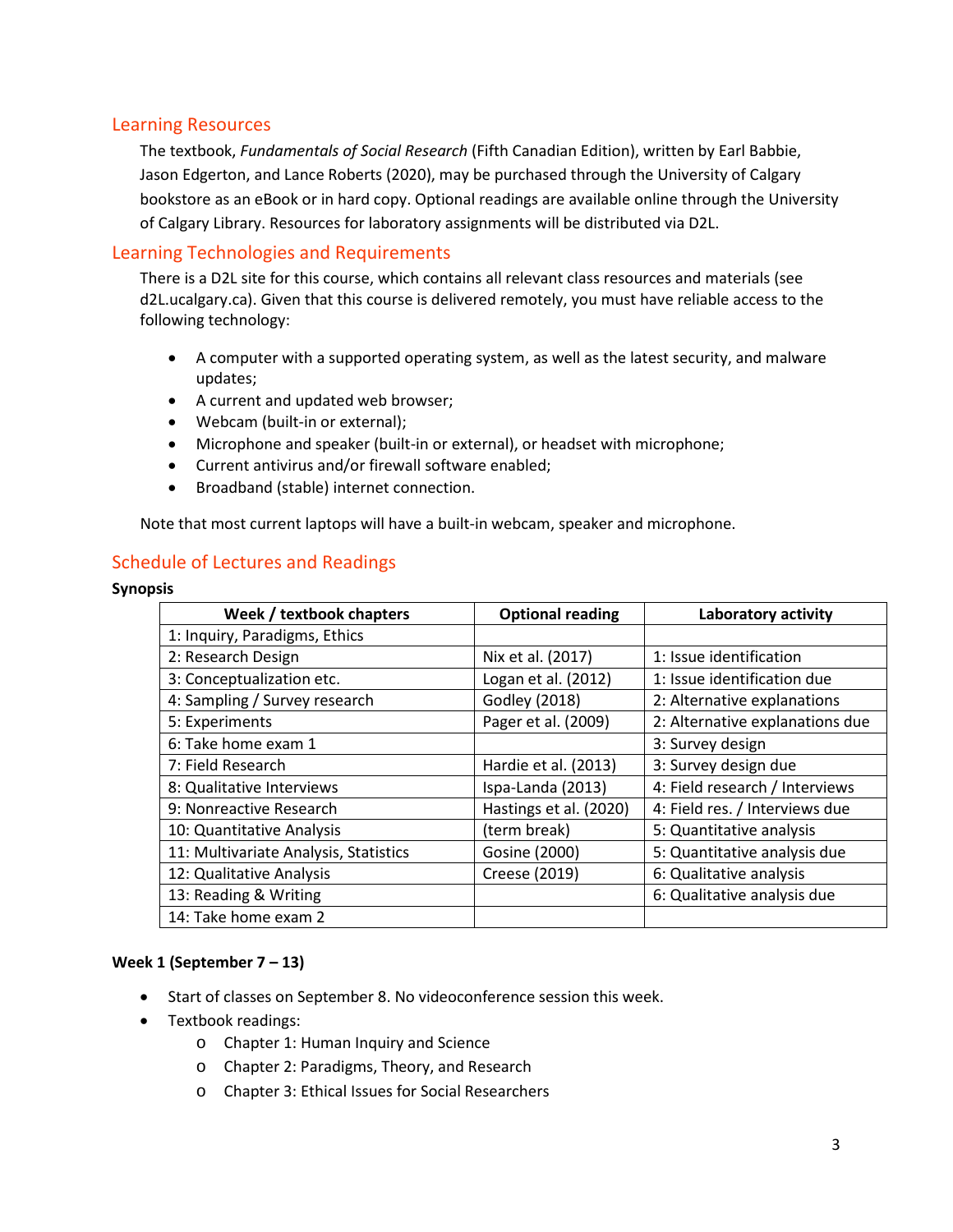## Learning Resources

The textbook, *Fundamentals of Social Research* (Fifth Canadian Edition), written by Earl Babbie, Jason Edgerton, and Lance Roberts (2020), may be purchased through the University of Calgary bookstore as an eBook or in hard copy. Optional readings are available online through the University of Calgary Library. Resources for laboratory assignments will be distributed via D2L.

## Learning Technologies and Requirements

There is a D2L site for this course, which contains all relevant class resources and materials (see d2L.ucalgary.ca). Given that this course is delivered remotely, you must have reliable access to the following technology:

- A computer with a supported operating system, as well as the latest security, and malware updates;
- A current and updated web browser;
- Webcam (built-in or external);
- Microphone and speaker (built-in or external), or headset with microphone;
- Current antivirus and/or firewall software enabled;
- Broadband (stable) internet connection.

Note that most current laptops will have a built-in webcam, speaker and microphone.

## Schedule of Lectures and Readings

#### **Synopsis**

| Week / textbook chapters              | <b>Optional reading</b> | Laboratory activity             |
|---------------------------------------|-------------------------|---------------------------------|
| 1: Inquiry, Paradigms, Ethics         |                         |                                 |
| 2: Research Design                    | Nix et al. (2017)       | 1: Issue identification         |
| 3: Conceptualization etc.             | Logan et al. (2012)     | 1: Issue identification due     |
| 4: Sampling / Survey research         | <b>Godley (2018)</b>    | 2: Alternative explanations     |
| 5: Experiments                        | Pager et al. (2009)     | 2: Alternative explanations due |
| 6: Take home exam 1                   |                         | 3: Survey design                |
| 7: Field Research                     | Hardie et al. (2013)    | 3: Survey design due            |
| 8: Qualitative Interviews             | Ispa-Landa (2013)       | 4: Field research / Interviews  |
| 9: Nonreactive Research               | Hastings et al. (2020)  | 4: Field res. / Interviews due  |
| 10: Quantitative Analysis             | (term break)            | 5: Quantitative analysis        |
| 11: Multivariate Analysis, Statistics | Gosine (2000)           | 5: Quantitative analysis due    |
| 12: Qualitative Analysis              | Creese (2019)           | 6: Qualitative analysis         |
| 13: Reading & Writing                 |                         | 6: Qualitative analysis due     |
| 14: Take home exam 2                  |                         |                                 |

### **Week 1 (September 7 – 13)**

- Start of classes on September 8. No videoconference session this week.
- Textbook readings:
	- o Chapter 1: Human Inquiry and Science
	- o Chapter 2: Paradigms, Theory, and Research
	- o Chapter 3: Ethical Issues for Social Researchers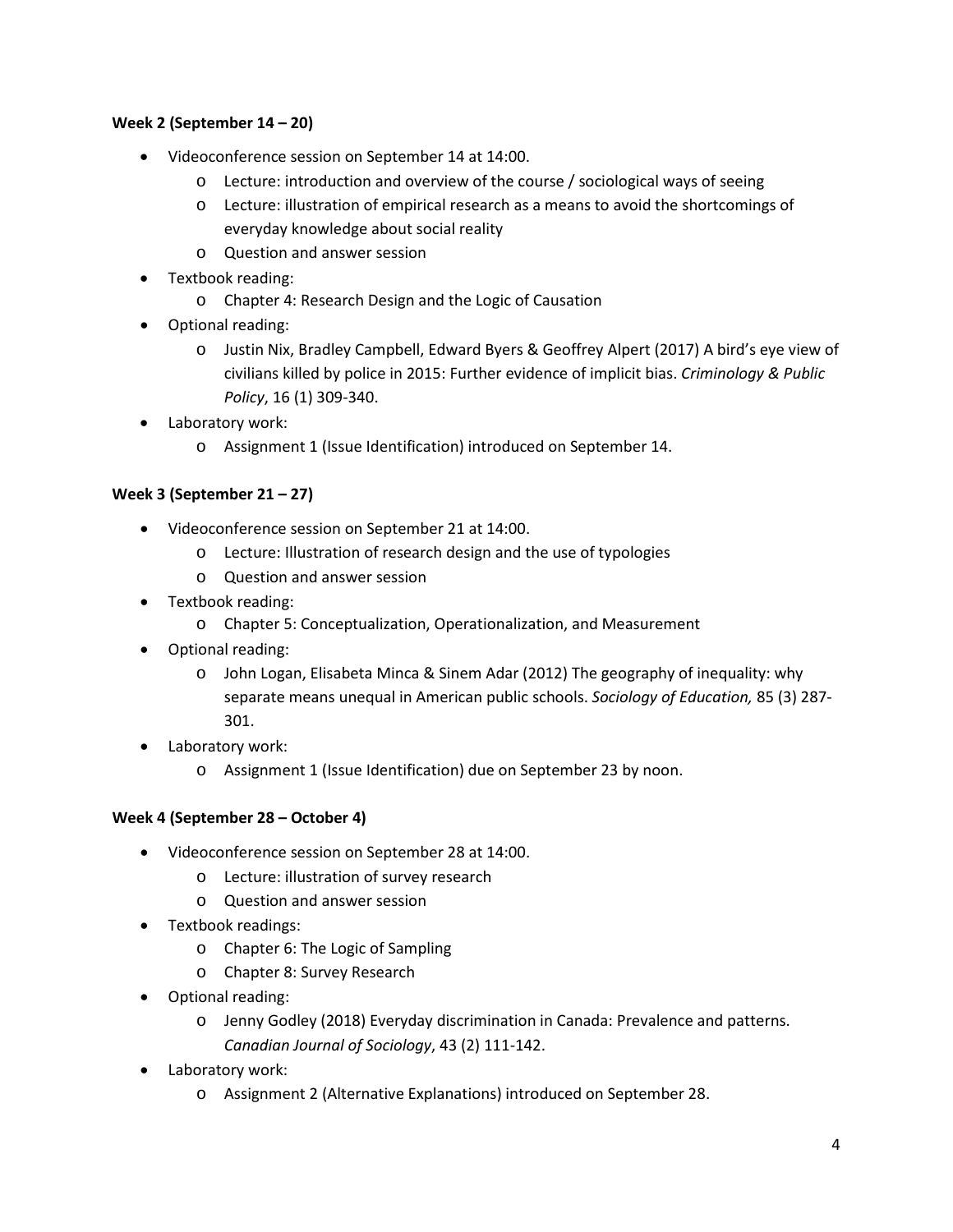## **Week 2 (September 14 – 20)**

- Videoconference session on September 14 at 14:00.
	- o Lecture: introduction and overview of the course / sociological ways of seeing
	- o Lecture: illustration of empirical research as a means to avoid the shortcomings of everyday knowledge about social reality
	- o Question and answer session
- Textbook reading:
	- o Chapter 4: Research Design and the Logic of Causation
- Optional reading:
	- o Justin Nix, Bradley Campbell, Edward Byers & Geoffrey Alpert (2017) A bird's eye view of civilians killed by police in 2015: Further evidence of implicit bias. *Criminology & Public Policy*, 16 (1) 309-340.
- Laboratory work:
	- o Assignment 1 (Issue Identification) introduced on September 14.

### **Week 3 (September 21 – 27)**

- Videoconference session on September 21 at 14:00.
	- o Lecture: Illustration of research design and the use of typologies
	- o Question and answer session
- Textbook reading:
	- o Chapter 5: Conceptualization, Operationalization, and Measurement
- Optional reading:
	- o John Logan, Elisabeta Minca & Sinem Adar (2012) The geography of inequality: why separate means unequal in American public schools. *Sociology of Education,* 85 (3) 287- 301.
- Laboratory work:
	- o Assignment 1 (Issue Identification) due on September 23 by noon.

### **Week 4 (September 28 – October 4)**

- Videoconference session on September 28 at 14:00.
	- o Lecture: illustration of survey research
	- o Question and answer session
- Textbook readings:
	- o Chapter 6: The Logic of Sampling
	- o Chapter 8: Survey Research
- Optional reading:
	- o Jenny Godley (2018) Everyday discrimination in Canada: Prevalence and patterns. *Canadian Journal of Sociology*, 43 (2) 111-142.
- Laboratory work:
	- o Assignment 2 (Alternative Explanations) introduced on September 28.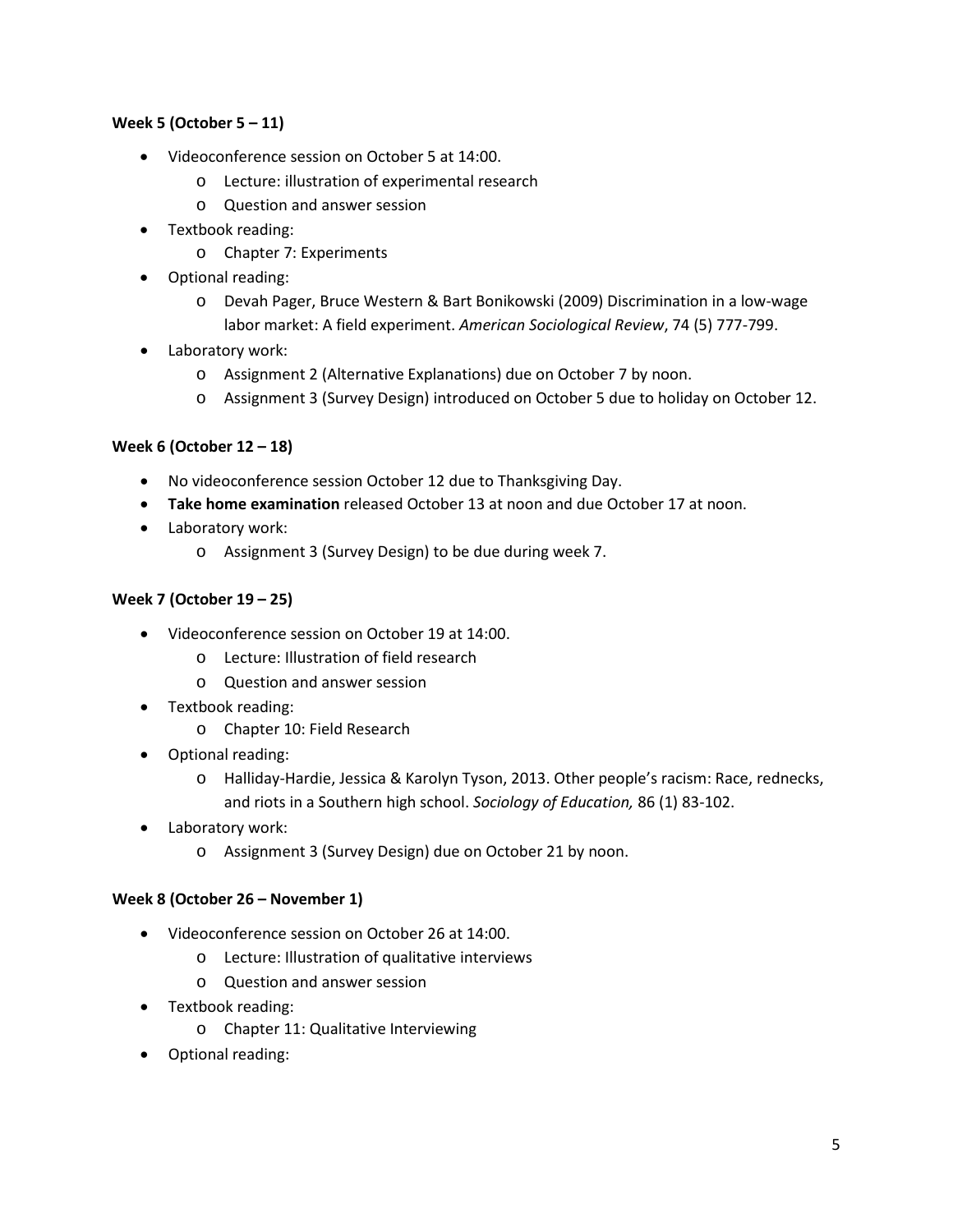### **Week 5 (October 5 – 11)**

- Videoconference session on October 5 at 14:00.
	- o Lecture: illustration of experimental research
	- o Question and answer session
- Textbook reading:
	- o Chapter 7: Experiments
- Optional reading:
	- o Devah Pager, Bruce Western & Bart Bonikowski (2009) Discrimination in a low-wage labor market: A field experiment. *American Sociological Review*, 74 (5) 777-799.
- Laboratory work:
	- o Assignment 2 (Alternative Explanations) due on October 7 by noon.
	- o Assignment 3 (Survey Design) introduced on October 5 due to holiday on October 12.

## **Week 6 (October 12 – 18)**

- No videoconference session October 12 due to Thanksgiving Day.
- **Take home examination** released October 13 at noon and due October 17 at noon.
- Laboratory work:
	- o Assignment 3 (Survey Design) to be due during week 7.

### **Week 7 (October 19 – 25)**

- Videoconference session on October 19 at 14:00.
	- o Lecture: Illustration of field research
	- o Question and answer session
- Textbook reading:
	- o Chapter 10: Field Research
- Optional reading:
	- o Halliday-Hardie, Jessica & Karolyn Tyson, 2013. Other people's racism: Race, rednecks, and riots in a Southern high school. *Sociology of Education,* 86 (1) 83-102.
- Laboratory work:
	- o Assignment 3 (Survey Design) due on October 21 by noon.

### **Week 8 (October 26 – November 1)**

- Videoconference session on October 26 at 14:00.
	- o Lecture: Illustration of qualitative interviews
	- o Question and answer session
- Textbook reading:
	- o Chapter 11: Qualitative Interviewing
- Optional reading: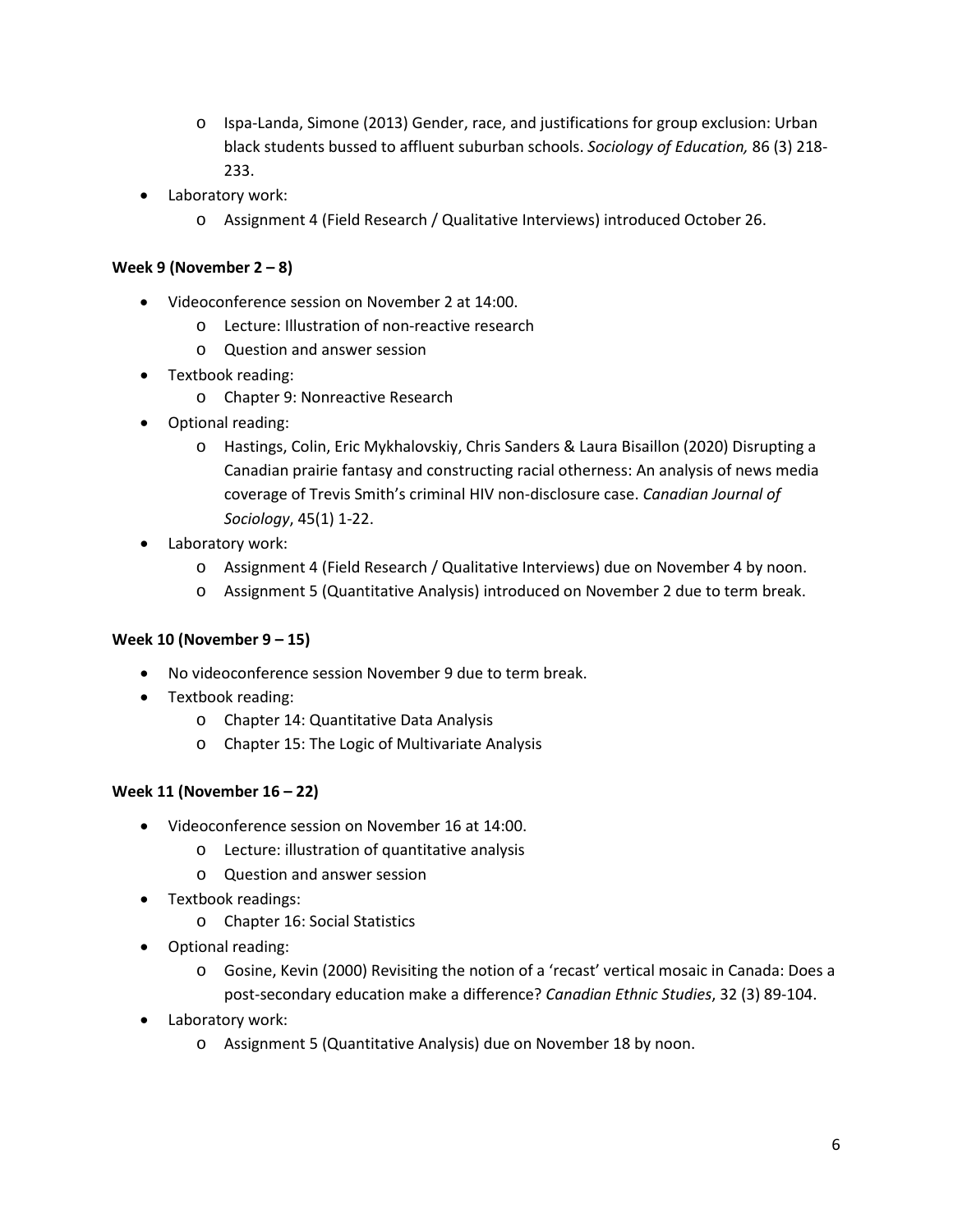- o Ispa-Landa, Simone (2013) Gender, race, and justifications for group exclusion: Urban black students bussed to affluent suburban schools. *Sociology of Education,* 86 (3) 218- 233.
- Laboratory work:
	- o Assignment 4 (Field Research / Qualitative Interviews) introduced October 26.

## **Week 9 (November 2 – 8)**

- Videoconference session on November 2 at 14:00.
	- o Lecture: Illustration of non-reactive research
	- o Question and answer session
- Textbook reading:
	- o Chapter 9: Nonreactive Research
- Optional reading:
	- o Hastings, Colin, Eric Mykhalovskiy, Chris Sanders & Laura Bisaillon (2020) Disrupting a Canadian prairie fantasy and constructing racial otherness: An analysis of news media coverage of Trevis Smith's criminal HIV non-disclosure case. *Canadian Journal of Sociology*, 45(1) 1-22.
- Laboratory work:
	- o Assignment 4 (Field Research / Qualitative Interviews) due on November 4 by noon.
	- o Assignment 5 (Quantitative Analysis) introduced on November 2 due to term break.

### **Week 10 (November 9 – 15)**

- No videoconference session November 9 due to term break.
- Textbook reading:
	- o Chapter 14: Quantitative Data Analysis
	- o Chapter 15: The Logic of Multivariate Analysis

## **Week 11 (November 16 – 22)**

- Videoconference session on November 16 at 14:00.
	- o Lecture: illustration of quantitative analysis
	- o Question and answer session
- Textbook readings:
	- o Chapter 16: Social Statistics
- Optional reading:
	- o Gosine, Kevin (2000) Revisiting the notion of a 'recast' vertical mosaic in Canada: Does a post-secondary education make a difference? *Canadian Ethnic Studies*, 32 (3) 89-104.
- Laboratory work:
	- o Assignment 5 (Quantitative Analysis) due on November 18 by noon.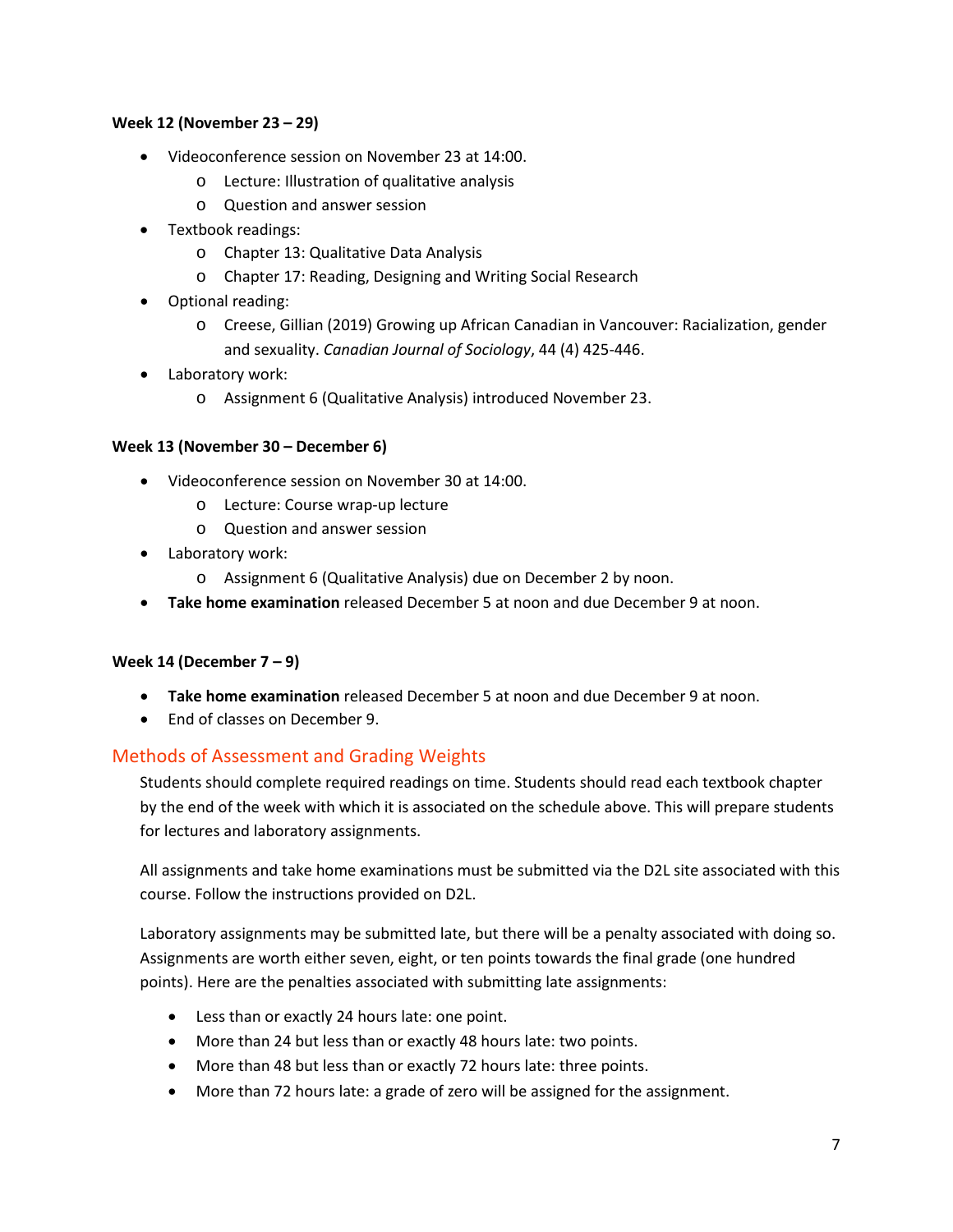### **Week 12 (November 23 – 29)**

- Videoconference session on November 23 at 14:00.
	- o Lecture: Illustration of qualitative analysis
	- o Question and answer session
- Textbook readings:
	- o Chapter 13: Qualitative Data Analysis
	- o Chapter 17: Reading, Designing and Writing Social Research
- Optional reading:
	- o Creese, Gillian (2019) Growing up African Canadian in Vancouver: Racialization, gender and sexuality. *Canadian Journal of Sociology*, 44 (4) 425-446.
- Laboratory work:
	- o Assignment 6 (Qualitative Analysis) introduced November 23.

### **Week 13 (November 30 – December 6)**

- Videoconference session on November 30 at 14:00.
	- o Lecture: Course wrap-up lecture
	- o Question and answer session
- Laboratory work:
	- o Assignment 6 (Qualitative Analysis) due on December 2 by noon.
- **Take home examination** released December 5 at noon and due December 9 at noon.

### **Week 14 (December 7 – 9)**

- **Take home examination** released December 5 at noon and due December 9 at noon.
- End of classes on December 9.

## Methods of Assessment and Grading Weights

Students should complete required readings on time. Students should read each textbook chapter by the end of the week with which it is associated on the schedule above. This will prepare students for lectures and laboratory assignments.

All assignments and take home examinations must be submitted via the D2L site associated with this course. Follow the instructions provided on D2L.

Laboratory assignments may be submitted late, but there will be a penalty associated with doing so. Assignments are worth either seven, eight, or ten points towards the final grade (one hundred points). Here are the penalties associated with submitting late assignments:

- Less than or exactly 24 hours late: one point.
- More than 24 but less than or exactly 48 hours late: two points.
- More than 48 but less than or exactly 72 hours late: three points.
- More than 72 hours late: a grade of zero will be assigned for the assignment.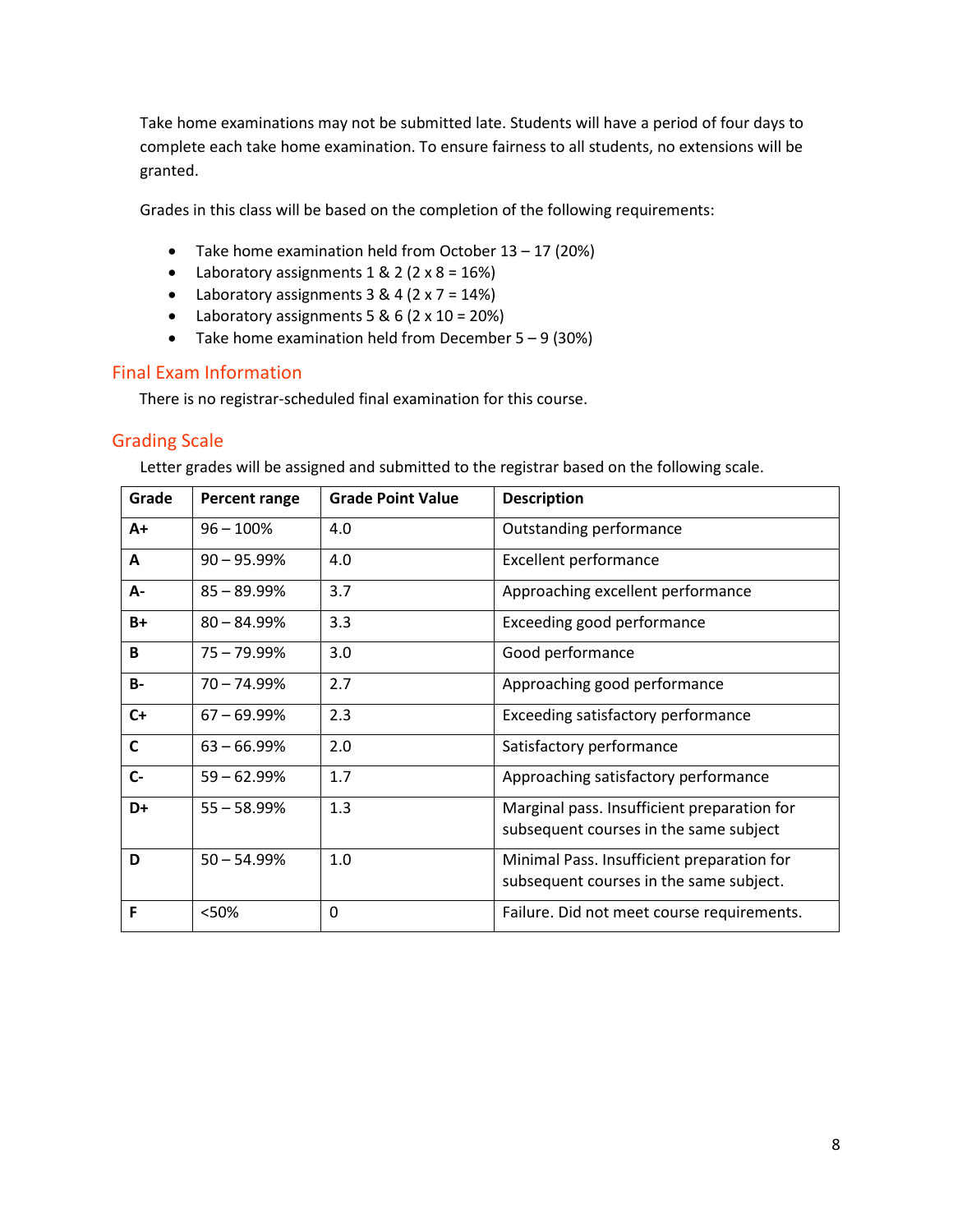Take home examinations may not be submitted late. Students will have a period of four days to complete each take home examination. To ensure fairness to all students, no extensions will be granted.

Grades in this class will be based on the completion of the following requirements:

- Take home examination held from October 13 17 (20%)
- Laboratory assignments  $1 & 2 (2 \times 8 = 16%)$
- Laboratory assignments  $3 & 4 (2 \times 7 = 14\%)$
- Laboratory assignments  $5 & 6 (2 \times 10 = 20%)$
- Take home examination held from December  $5 9$  (30%)

## Final Exam Information

There is no registrar-scheduled final examination for this course.

## Grading Scale

Letter grades will be assigned and submitted to the registrar based on the following scale.

| Grade     | Percent range  | <b>Grade Point Value</b> | <b>Description</b>                                                                    |
|-----------|----------------|--------------------------|---------------------------------------------------------------------------------------|
| A+        | $96 - 100%$    | 4.0                      | Outstanding performance                                                               |
| A         | $90 - 95.99%$  | 4.0                      | <b>Excellent performance</b>                                                          |
| A-        | $85 - 89.99%$  | 3.7                      | Approaching excellent performance                                                     |
| $B+$      | $80 - 84.99\%$ | 3.3                      | Exceeding good performance                                                            |
| B         | $75 - 79.99\%$ | 3.0                      | Good performance                                                                      |
| <b>B-</b> | $70 - 74.99%$  | 2.7                      | Approaching good performance                                                          |
| $C+$      | $67 - 69.99\%$ | 2.3                      | Exceeding satisfactory performance                                                    |
| C         | $63 - 66.99\%$ | 2.0                      | Satisfactory performance                                                              |
| $C -$     | $59 - 62.99%$  | 1.7                      | Approaching satisfactory performance                                                  |
| D+        | $55 - 58.99%$  | 1.3                      | Marginal pass. Insufficient preparation for<br>subsequent courses in the same subject |
| D         | $50 - 54.99%$  | 1.0                      | Minimal Pass. Insufficient preparation for<br>subsequent courses in the same subject. |
| F         | <50%           | 0                        | Failure. Did not meet course requirements.                                            |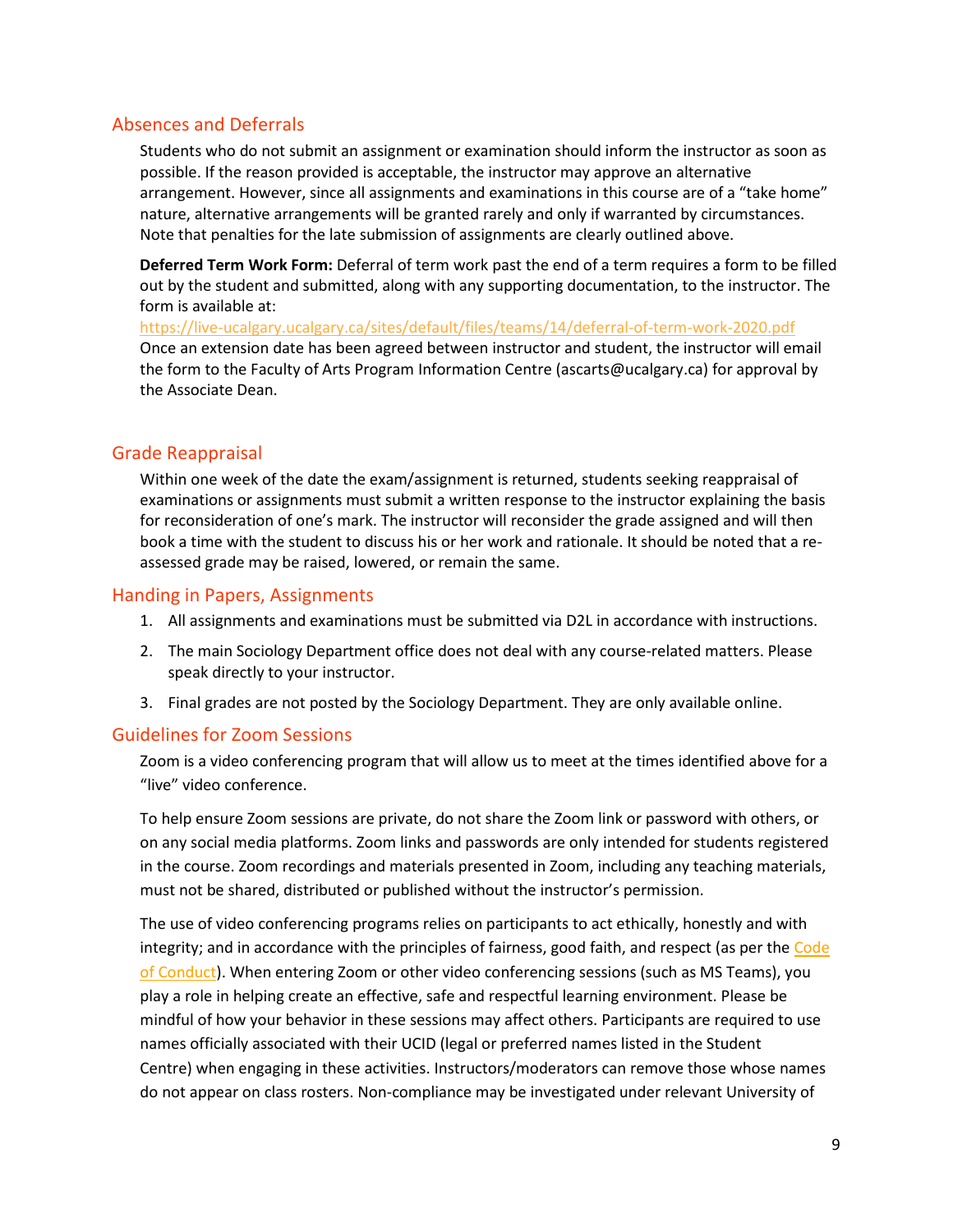## Absences and Deferrals

Students who do not submit an assignment or examination should inform the instructor as soon as possible. If the reason provided is acceptable, the instructor may approve an alternative arrangement. However, since all assignments and examinations in this course are of a "take home" nature, alternative arrangements will be granted rarely and only if warranted by circumstances. Note that penalties for the late submission of assignments are clearly outlined above.

**Deferred Term Work Form:** Deferral of term work past the end of a term requires a form to be filled out by the student and submitted, along with any supporting documentation, to the instructor. The form is available at:

<https://live-ucalgary.ucalgary.ca/sites/default/files/teams/14/deferral-of-term-work-2020.pdf> Once an extension date has been agreed between instructor and student, the instructor will email the form to the Faculty of Arts Program Information Centre (ascarts@ucalgary.ca) for approval by the Associate Dean.

## Grade Reappraisal

Within one week of the date the exam/assignment is returned, students seeking reappraisal of examinations or assignments must submit a written response to the instructor explaining the basis for reconsideration of one's mark. The instructor will reconsider the grade assigned and will then book a time with the student to discuss his or her work and rationale. It should be noted that a reassessed grade may be raised, lowered, or remain the same.

## Handing in Papers, Assignments

- 1. All assignments and examinations must be submitted via D2L in accordance with instructions.
- 2. The main Sociology Department office does not deal with any course-related matters. Please speak directly to your instructor.
- 3. Final grades are not posted by the Sociology Department. They are only available online.

## Guidelines for Zoom Sessions

Zoom is a video conferencing program that will allow us to meet at the times identified above for a "live" video conference.

To help ensure Zoom sessions are private, do not share the Zoom link or password with others, or on any social media platforms. Zoom links and passwords are only intended for students registered in the course. Zoom recordings and materials presented in Zoom, including any teaching materials, must not be shared, distributed or published without the instructor's permission.

The use of video conferencing programs relies on participants to act ethically, honestly and with integrity; and in accordance with the principles of fairness, good faith, and respect (as per the Code [of Conduct\)](https://www.ucalgary.ca/policies/files/policies/code-of-conduct.pdf). When entering Zoom or other video conferencing sessions (such as MS Teams), you play a role in helping create an effective, safe and respectful learning environment. Please be mindful of how your behavior in these sessions may affect others. Participants are required to use names officially associated with their UCID (legal or preferred names listed in the Student Centre) when engaging in these activities. Instructors/moderators can remove those whose names do not appear on class rosters. Non-compliance may be investigated under relevant University of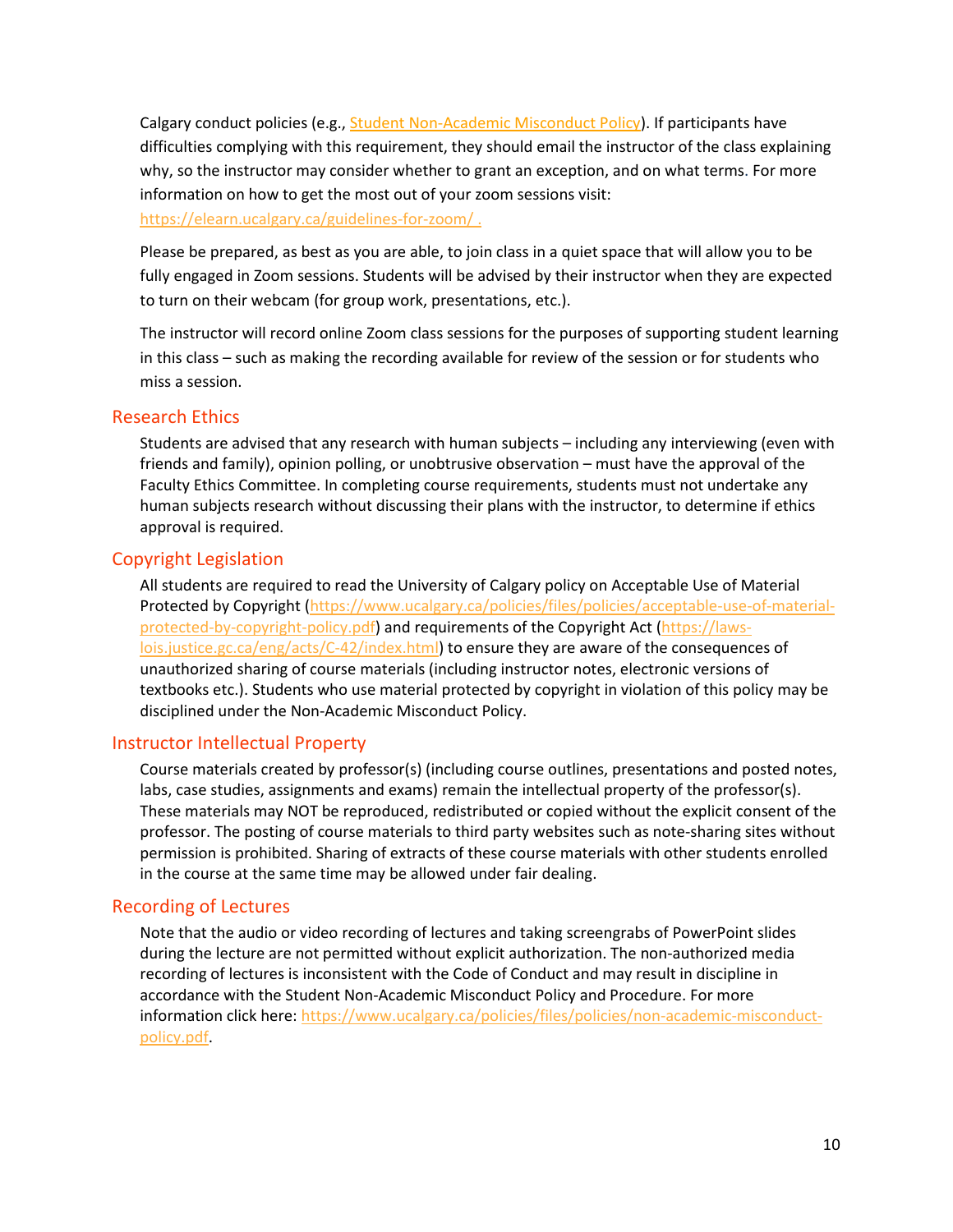Calgary conduct policies (e.g., **[Student Non-Academic Misconduct Policy\)](https://ucalgary.ca/policies/files/policies/non-academic-misconduct-policy.pdf)**. If participants have difficulties complying with this requirement, they should email the instructor of the class explaining why, so the instructor may consider whether to grant an exception, and on what terms. For more information on how to get the most out of your zoom sessions visit: <https://elearn.ucalgary.ca/guidelines-for-zoom/> .

Please be prepared, as best as you are able, to join class in a quiet space that will allow you to be fully engaged in Zoom sessions. Students will be advised by their instructor when they are expected to turn on their webcam (for group work, presentations, etc.).

The instructor will record online Zoom class sessions for the purposes of supporting student learning in this class – such as making the recording available for review of the session or for students who miss a session.

### Research Ethics

Students are advised that any research with human subjects – including any interviewing (even with friends and family), opinion polling, or unobtrusive observation – must have the approval of the Faculty Ethics Committee. In completing course requirements, students must not undertake any human subjects research without discussing their plans with the instructor, to determine if ethics approval is required.

### Copyright Legislation

All students are required to read the University of Calgary policy on Acceptable Use of Material Protected by Copyright [\(https://www.ucalgary.ca/policies/files/policies/acceptable-use-of-material](https://www.ucalgary.ca/policies/files/policies/acceptable-use-of-material-protected-by-copyright-policy.pdf)[protected-by-copyright-policy.pdf\)](https://www.ucalgary.ca/policies/files/policies/acceptable-use-of-material-protected-by-copyright-policy.pdf) and requirements of the Copyright Act [\(https://laws](https://laws-lois.justice.gc.ca/eng/acts/C-42/index.html)[lois.justice.gc.ca/eng/acts/C-42/index.html\)](https://laws-lois.justice.gc.ca/eng/acts/C-42/index.html) to ensure they are aware of the consequences of unauthorized sharing of course materials (including instructor notes, electronic versions of textbooks etc.). Students who use material protected by copyright in violation of this policy may be disciplined under the Non-Academic Misconduct Policy.

### Instructor Intellectual Property

Course materials created by professor(s) (including course outlines, presentations and posted notes, labs, case studies, assignments and exams) remain the intellectual property of the professor(s). These materials may NOT be reproduced, redistributed or copied without the explicit consent of the professor. The posting of course materials to third party websites such as note-sharing sites without permission is prohibited. Sharing of extracts of these course materials with other students enrolled in the course at the same time may be allowed under fair dealing.

## Recording of Lectures

Note that the audio or video recording of lectures and taking screengrabs of PowerPoint slides during the lecture are not permitted without explicit authorization. The non-authorized media recording of lectures is inconsistent with the Code of Conduct and may result in discipline in accordance with the Student Non-Academic Misconduct Policy and Procedure. For more information click here: [https://www.ucalgary.ca/policies/files/policies/non-academic-misconduct](https://www.ucalgary.ca/policies/files/policies/non-academic-misconduct-policy.pdf)[policy.pdf.](https://www.ucalgary.ca/policies/files/policies/non-academic-misconduct-policy.pdf)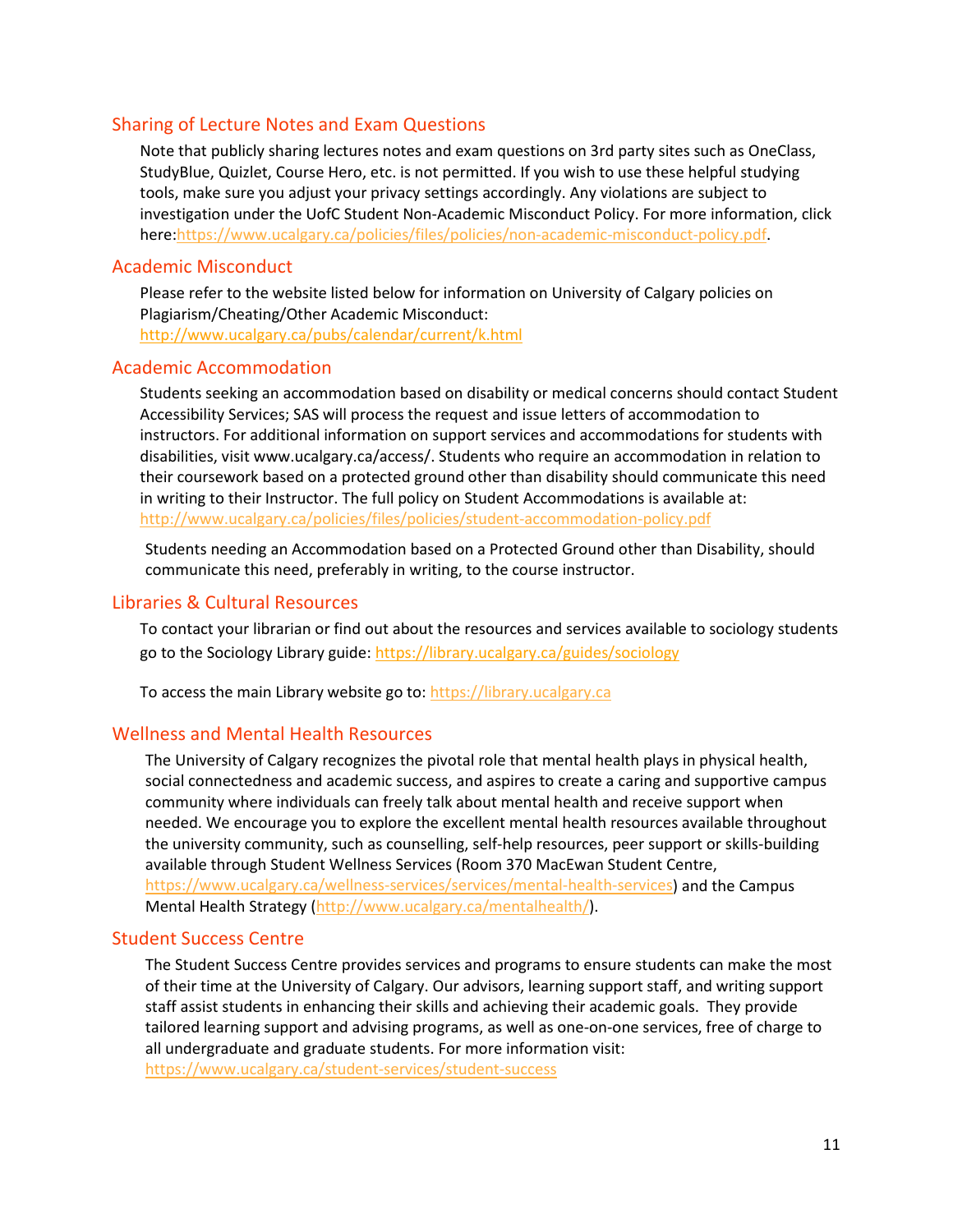### Sharing of Lecture Notes and Exam Questions

Note that publicly sharing lectures notes and exam questions on 3rd party sites such as OneClass, StudyBlue, Quizlet, Course Hero, etc. is not permitted. If you wish to use these helpful studying tools, make sure you adjust your privacy settings accordingly. Any violations are subject to investigation under the UofC Student Non-Academic Misconduct Policy. For more information, click here[:https://www.ucalgary.ca/policies/files/policies/non-academic-misconduct-policy.pdf.](https://www.ucalgary.ca/policies/files/policies/non-academic-misconduct-policy.pdf)

### Academic Misconduct

Please refer to the website listed below for information on University of Calgary policies on Plagiarism/Cheating/Other Academic Misconduct: <http://www.ucalgary.ca/pubs/calendar/current/k.html>

### Academic Accommodation

Students seeking an accommodation based on disability or medical concerns should contact Student Accessibility Services; SAS will process the request and issue letters of accommodation to instructors. For additional information on support services and accommodations for students with disabilities, visit www.ucalgary.ca/access/. Students who require an accommodation in relation to their coursework based on a protected ground other than disability should communicate this need in writing to their Instructor. The full policy on Student Accommodations is available at: <http://www.ucalgary.ca/policies/files/policies/student-accommodation-policy.pdf>

Students needing an Accommodation based on a Protected Ground other than Disability, should communicate this need, preferably in writing, to the course instructor.

### Libraries & Cultural Resources

To contact your librarian or find out about the resources and services available to sociology students go to the Sociology Library guide:<https://library.ucalgary.ca/guides/sociology>

To access the main Library website go to: [https://library.ucalgary.ca](https://library.ucalgary.ca/)

### Wellness and Mental Health Resources

The University of Calgary recognizes the pivotal role that mental health plays in physical health, social connectedness and academic success, and aspires to create a caring and supportive campus community where individuals can freely talk about mental health and receive support when needed. We encourage you to explore the excellent mental health resources available throughout the university community, such as counselling, self-help resources, peer support or skills-building available through Student Wellness Services (Room 370 MacEwan Student Centre, [https://www.ucalgary.ca/wellness-services/services/mental-health-services\)](https://www.ucalgary.ca/wellness-services/services/mental-health-services) and the Campus Mental Health Strategy [\(http://www.ucalgary.ca/mentalhealth/\)](http://www.ucalgary.ca/mentalhealth/).

#### Student Success Centre

The Student Success Centre provides services and programs to ensure students can make the most of their time at the University of Calgary. Our advisors, learning support staff, and writing support staff assist students in enhancing their skills and achieving their academic goals. They provide tailored learning support and advising programs, as well as one-on-one services, free of charge to all undergraduate and graduate students. For more information visit: <https://www.ucalgary.ca/student-services/student-success>